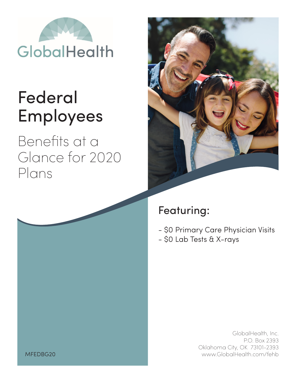

# Federal Employees

Benefits at a Glance for 2020 Plans



## Featuring:

- \$0 Primary Care Physician Visits
- \$0 Lab Tests & X-rays

GlobalHealth, Inc. P.O. Box 2393 Oklahoma City, OK 73101-2393 www.GlobalHealth.com/fehb

MFEDBG20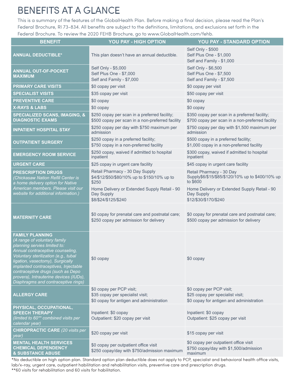#### BENEFITS AT A GLANCE

This is a summary of the features of the GlobalHealth Plan. Before making a final decision, please read the Plan's Federal Brochure, RI 73-834. All benefits are subject to the definitions, limitations, and exclusions set forth in the Federal Brochure. To review the 2020 FEHB Brochure, go to www.GlobalHealth.com/fehb.

| <b>BENEFIT</b>                                                                                                                                                                                                                                                                                                                                                       | YOU PAY - HIGH OPTION                                                                                    | YOU PAY - STANDARD OPTION                                                                                |
|----------------------------------------------------------------------------------------------------------------------------------------------------------------------------------------------------------------------------------------------------------------------------------------------------------------------------------------------------------------------|----------------------------------------------------------------------------------------------------------|----------------------------------------------------------------------------------------------------------|
| <b>ANNUAL DEDUCTIBLE*</b>                                                                                                                                                                                                                                                                                                                                            | This plan doesn't have an annual deductible.                                                             | Self Only - \$500<br>Self Plus One - \$1,000<br>Self and Family - \$1,000                                |
| <b>ANNUAL OUT-OF-POCKET</b><br><b>MAXIMUM</b>                                                                                                                                                                                                                                                                                                                        | Self Only - \$5,000<br>Self Plus One - \$7,000<br>Self and Family - \$7,000                              | Self Only - \$6,500<br>Self Plus One - \$7,500<br>Self and Family - \$7,500                              |
| <b>PRIMARY CARE VISITS</b>                                                                                                                                                                                                                                                                                                                                           | \$0 copay per visit                                                                                      | \$0 copay per visit                                                                                      |
| <b>SPECIALIST VISITS</b>                                                                                                                                                                                                                                                                                                                                             | \$35 copay per visit                                                                                     | \$50 copay per visit                                                                                     |
| <b>PREVENTIVE CARE</b>                                                                                                                                                                                                                                                                                                                                               | \$0 copay                                                                                                | \$0 copay                                                                                                |
| <b>X-RAYS &amp; LABS</b>                                                                                                                                                                                                                                                                                                                                             | \$0 copay                                                                                                | \$0 copay                                                                                                |
| <b>SPECIALIZED SCANS, IMAGING, &amp;</b><br><b>DIAGNOSTIC EXAMS</b>                                                                                                                                                                                                                                                                                                  | \$250 copay per scan in a preferred facility;<br>\$500 copay per scan in a non-preferred facility        | \$350 copay per scan in a preferred facility;<br>\$700 copay per scan in a non-preferred facility        |
| <b>INPATIENT HOSPITAL STAY</b>                                                                                                                                                                                                                                                                                                                                       | \$250 copay per day with \$750 maximum per<br>admission                                                  | \$750 copay per day with \$1,500 maximum per<br>admission                                                |
| <b>OUTPATIENT SURGERY</b>                                                                                                                                                                                                                                                                                                                                            | \$250 copay in a preferred facility;<br>\$750 copay in a non-preferred facility                          | \$500 copay in a preferred facility;<br>\$1,000 copay in a non-preferred facility                        |
| <b>EMERGENCY ROOM SERVICE</b>                                                                                                                                                                                                                                                                                                                                        | \$250 copay, waived if admitted to hospital<br>inpatient                                                 | \$300 copay, waived if admitted to hospital<br>inpatient                                                 |
| <b>URGENT CARE</b>                                                                                                                                                                                                                                                                                                                                                   | \$25 copay in urgent care facility                                                                       | \$45 copay in urgent care facility                                                                       |
| <b>PRESCRIPTION DRUGS</b><br>(Chickasaw Nation Refill Center is<br>a home delivery option for Native                                                                                                                                                                                                                                                                 | Retail Pharmacy - 30 Day Supply<br>\$4/\$12/\$50/\$80/10% up to \$150/10% up to<br>\$250                 | Retail Pharmacy - 30 Day<br>Supply\$6/\$15/\$85/\$120/10% up to \$400/10% up<br>to \$600                 |
| American members. Please visit our<br>website for additional information.)                                                                                                                                                                                                                                                                                           | Home Delivery or Extended Supply Retail - 90<br>Day Supply<br>\$8/\$24/\$125/\$240                       | Home Delivery or Extended Supply Retail - 90<br>Day Supply<br>\$12/\$30/\$170/\$240                      |
| <b>MATERNITY CARE</b>                                                                                                                                                                                                                                                                                                                                                | \$0 copay for prenatal care and postnatal care;<br>\$250 copay per admission for delivery                | \$0 copay for prenatal care and postnatal care;<br>\$500 copay per admission for delivery                |
| <b>FAMILY PLANNING</b><br>(A range of voluntary family<br>planning servies limited to:<br>Annual contraceptive counseling,<br>Voluntary sterilization (e.g., tubal<br>ligation, vasectomy), Surgically<br>implanted contraceptives, Injectable<br>contraceptive drugs (such as Depo<br>provera), Intrauterine devices (IUDs),<br>Diaphragms and contraceptive rings) | \$0 copay                                                                                                | $$0$ copay                                                                                               |
| <b>ALLERGY CARE</b>                                                                                                                                                                                                                                                                                                                                                  | \$0 copay per PCP visit;<br>\$35 copay per specialist visit;<br>\$0 copay for antigen and administration | \$0 copay per PCP visit;<br>\$25 copay per specialist visit;<br>\$0 copay for antigen and administration |
| PHYSICAL, OCCUPATIONAL,<br><b>SPEECH THERAPY</b><br>(limited to 60 <sup>**</sup> combined visits per<br>calendar year)                                                                                                                                                                                                                                               | Inpatient: \$0 copay<br>Outpatient: \$20 copay per visit                                                 | Inpatient: \$0 copay<br>Outpatient: \$25 copay per visit                                                 |
| <b>CHIROPRACTIC CARE</b> (20 visits per<br>year)                                                                                                                                                                                                                                                                                                                     | \$20 copay per visit                                                                                     | \$15 copay per visit                                                                                     |
| <b>MENTAL HEALTH SERVICES</b><br><b>CHEMICAL DEPENDENCY</b><br><b>&amp; SUBSTANCE ABUSE</b>                                                                                                                                                                                                                                                                          | \$0 copay per outpatient office visit<br>\$250 copay/day with \$750/admission maximum                    | \$0 copay per outpatient office visit<br>\$750 copay/day with \$1,500/admission<br>maximum               |

\*No deductible on high option plan. Standard option plan deductible does not apply to PCP, specialist and behavioral health office visits, lab/x-ray, urgent care, outpatient habilitation and rehabilitation visits, preventive care and prescription drugs. \*\*60 visits for rehabilitation and 60 visits for habilitation.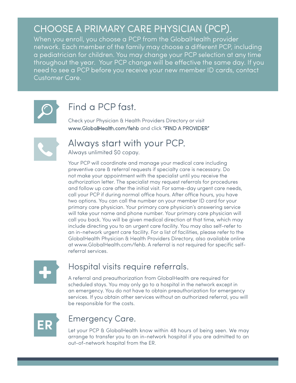#### CHOOSE A PRIMARY CARE PHYSICIAN (PCP).

When you enroll, you choose a PCP from the GlobalHealth provider network. Each member of the family may choose a different PCP, including a pediatrician for children. You may change your PCP selection at any time throughout the year. Your PCP change will be effective the same day. If you need to see a PCP before you receive your new member ID cards, contact Customer Care.



#### Find a PCP fast.

Check your Physician & Health Providers Directory or visit www.GlobalHealth.com/fehb and click "FIND A PROVIDER"



#### Always start with your PCP.

Always unlimited \$0 copay.

Your PCP will coordinate and manage your medical care including preventive care & referral requests if specialty care is necessary. Do not make your appointment with the specialist until you receive the authorization letter. The specialist may request referrals for procedures and follow up care after the initial visit. For same-day urgent care needs, call your PCP if during normal office hours. After office hours, you have two options. You can call the number on your member ID card for your primary care physician. Your primary care physician's answering service will take your name and phone number. Your primary care physician will call you back. You will be given medical direction at that time, which may include directing you to an urgent care facility. You may also self-refer to an in-network urgent care facility. For a list of facilities, please refer to the GlobalHealth Physician & Health Providers Directory, also available online at www.GlobalHealth.com/fehb. A referral is not required for specific selfreferral services.

#### Hospital visits require referrals.

A referral and preauthorization from GlobalHealth are required for scheduled stays. You may only go to a hospital in the network except in an emergency. You do not have to obtain preauthorization for emergency services. If you obtain other services without an authorized referral, you will be responsible for the costs.



#### Emergency Care.

Let your PCP & GlobalHealth know within 48 hours of being seen. We may arrange to transfer you to an in-network hospital if you are admitted to an out-of-network hospital from the ER.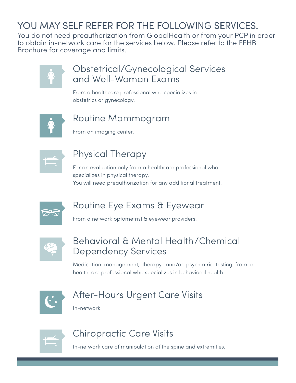#### YOU MAY SELF REFER FOR THE FOLLOWING SERVICES.

You do not need preauthorization from GlobalHealth or from your PCP in order to obtain in-network care for the services below. Please refer to the FEHB Brochure for coverage and limits.



#### Obstetrical/Gynecological Services and Well-Woman Exams

From a healthcare professional who specializes in obstetrics or gynecology.



#### Routine Mammogram

From an imaging center.



#### Physical Therapy

For an evaluation only from a healthcare professional who specializes in physical therapy. You will need preauthorization for any additional treatment.



#### Routine Eye Exams & Eyewear

From a network optometrist & eyewear providers.



#### Behavioral & Mental Health/Chemical Dependency Services

Medication management, therapy, and/or psychiatric testing from a healthcare professional who specializes in behavioral health.



#### After-Hours Urgent Care Visits

In-network.



#### Chiropractic Care Visits

In-network care of manipulation of the spine and extremities.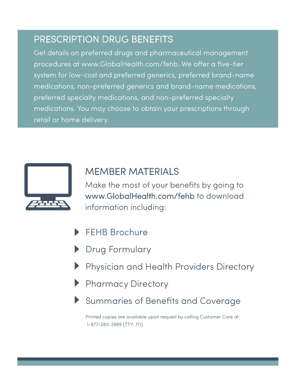#### PRESCRIPTION DRUG BENEFITS

Get details on preferred drugs and pharmaceutical management procedures at www.GlobalHealth.com/fehb. We offer a five-tier system for low-cost and preferred generics, preferred brand-name medications, non-preferred generics and brand-name medications, preferred specialty medications, and non-preferred specialty medications. You may choose to obtain your prescriptions through retail or home delivery.



#### MEMBER MATERIALS

Make the most of your benefits by going to www.GlobalHealth.com/fehb to download information including:

- FEHB Brochure
- Drug Formulary
- Physician and Health Providers Directory
- Pharmacy Directory
- Summaries of Benefits and Coverage

Printed copies are available upon request by calling Customer Care at: 1-877-280-2989 (TTY: 711).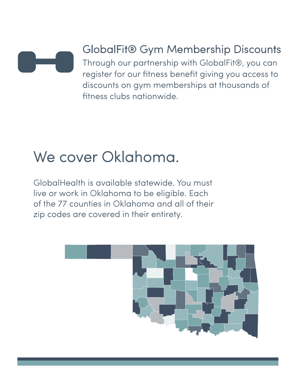

### GlobalFit® Gym Membership Discounts

Through our partnership with GlobalFit®, you can register for our fitness benefit giving you access to discounts on gym memberships at thousands of fitness clubs nationwide.

## We cover Oklahoma.

GlobalHealth is available statewide. You must live or work in Oklahoma to be eligible. Each of the 77 counties in Oklahoma and all of their zip codes are covered in their entirety.

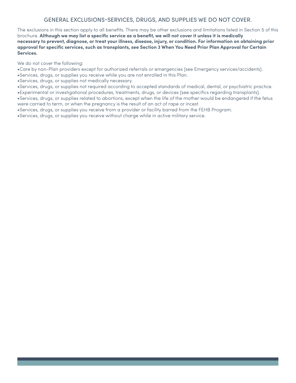#### GENERAL EXCLUSIONS-SERVICES, DRUGS, AND SUPPLIES WE DO NOT COVER.

The exclusions in this section apply to all benefits. There may be other exclusions and limitations listed in Section 5 of this brochure. **Although we may list a specific service as a benefit, we will not cover it unless it is medically necessary to prevent, diagnose, or treat your illness, disease, injury, or condition. For information on obtaining prior**  approval for specific services, such as transplants, see Section 3 When You Need Prior Plan Approval for Certain<br>Services.

We do not cover the following:

•Care by non-Plan providers except for authorized referrals or emergencies (see Emergency services/accidents).

•Services, drugs, or supplies you receive while you are not enrolled in this Plan.

•Services, drugs, or supplies not medically necessary.

•Services, drugs, or supplies not required according to accepted standards of medical, dental, or psychiatric practice. •Experimental or investigational procedures, treatments, drugs, or devices (see specifics regarding transplants).

•Services, drugs, or supplies related to abortions, except when the life of the mother would be endangered if the fetus were carried to term, or when the pregnancy is the result of an act of rape or incest.

•Services, drugs, or supplies you receive from a provider or facility barred from the FEHB Program.

•Services, drugs, or supplies you receive without charge while in active military service.